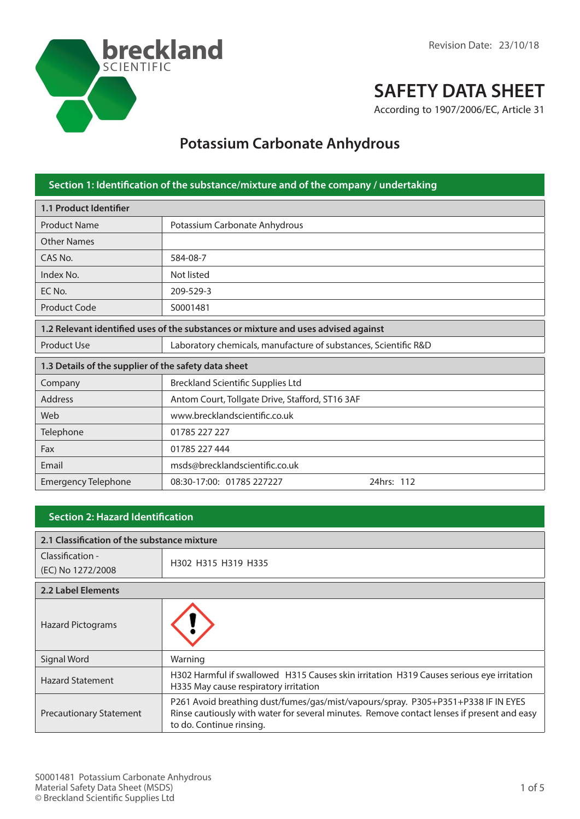

# **SAFETY DATA SHEET**

According to 1907/2006/EC, Article 31

## **Potassium Carbonate Anhydrous**

| Section 1: Identification of the substance/mixture and of the company / undertaking |                                                                 |  |
|-------------------------------------------------------------------------------------|-----------------------------------------------------------------|--|
| 1.1 Product Identifier                                                              |                                                                 |  |
| <b>Product Name</b>                                                                 | Potassium Carbonate Anhydrous                                   |  |
| <b>Other Names</b>                                                                  |                                                                 |  |
| CAS No.                                                                             | 584-08-7                                                        |  |
| Index No.                                                                           | Not listed                                                      |  |
| EC No.                                                                              | 209-529-3                                                       |  |
| Product Code                                                                        | S0001481                                                        |  |
| 1.2 Relevant identified uses of the substances or mixture and uses advised against  |                                                                 |  |
| <b>Product Use</b>                                                                  | Laboratory chemicals, manufacture of substances, Scientific R&D |  |
| 1.3 Details of the supplier of the safety data sheet                                |                                                                 |  |
| Company                                                                             | <b>Breckland Scientific Supplies Ltd</b>                        |  |
| <b>Address</b>                                                                      | Antom Court, Tollgate Drive, Stafford, ST16 3AF                 |  |
| Web                                                                                 | www.brecklandscientific.co.uk                                   |  |
| Telephone                                                                           | 01785 227 227                                                   |  |
| Fax                                                                                 | 01785 227 444                                                   |  |
| Email                                                                               | msds@brecklandscientific.co.uk                                  |  |
| <b>Emergency Telephone</b>                                                          | 24hrs: 112<br>08:30-17:00: 01785 227227                         |  |

#### **Section 2: Hazard Identification**

| 2.1 Classification of the substance mixture |                                                                                                                                                                                                             |  |
|---------------------------------------------|-------------------------------------------------------------------------------------------------------------------------------------------------------------------------------------------------------------|--|
| Classification -                            |                                                                                                                                                                                                             |  |
| (EC) No 1272/2008                           | H302 H315 H319 H335                                                                                                                                                                                         |  |
| <b>2.2 Label Elements</b>                   |                                                                                                                                                                                                             |  |
| <b>Hazard Pictograms</b>                    |                                                                                                                                                                                                             |  |
| Signal Word                                 | Warning                                                                                                                                                                                                     |  |
| <b>Hazard Statement</b>                     | H302 Harmful if swallowed H315 Causes skin irritation H319 Causes serious eye irritation<br>H335 May cause respiratory irritation                                                                           |  |
| <b>Precautionary Statement</b>              | P261 Avoid breathing dust/fumes/gas/mist/vapours/spray. P305+P351+P338 IF IN EYES<br>Rinse cautiously with water for several minutes. Remove contact lenses if present and easy<br>to do. Continue rinsing. |  |

**Section 3: Composition / information on**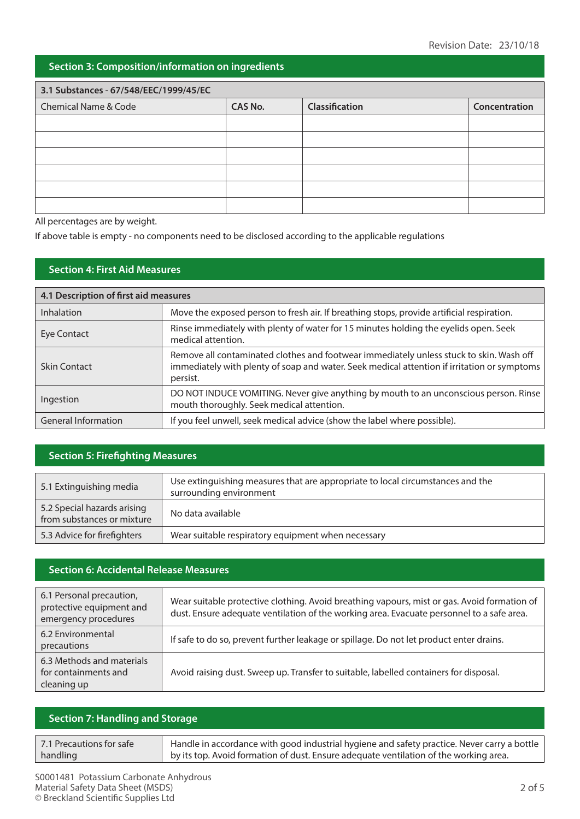### **Section 3: Composition/information on ingredients**

| 3.1 Substances - 67/548/EEC/1999/45/EC |                |                |               |
|----------------------------------------|----------------|----------------|---------------|
| Chemical Name & Code                   | <b>CAS No.</b> | Classification | Concentration |
|                                        |                |                |               |
|                                        |                |                |               |
|                                        |                |                |               |
|                                        |                |                |               |
|                                        |                |                |               |
|                                        |                |                |               |

All percentages are by weight.

If above table is empty - no components need to be disclosed according to the applicable regulations

#### **Section 4: First Aid Measures**

| 4.1 Description of first aid measures |                                                                                                                                                                                                    |  |
|---------------------------------------|----------------------------------------------------------------------------------------------------------------------------------------------------------------------------------------------------|--|
| <b>Inhalation</b>                     | Move the exposed person to fresh air. If breathing stops, provide artificial respiration.                                                                                                          |  |
| Eye Contact                           | Rinse immediately with plenty of water for 15 minutes holding the eyelids open. Seek<br>medical attention.                                                                                         |  |
| Skin Contact                          | Remove all contaminated clothes and footwear immediately unless stuck to skin. Wash off<br>immediately with plenty of soap and water. Seek medical attention if irritation or symptoms<br>persist. |  |
| Ingestion                             | DO NOT INDUCE VOMITING. Never give anything by mouth to an unconscious person. Rinse<br>mouth thoroughly. Seek medical attention.                                                                  |  |
| <b>General Information</b>            | If you feel unwell, seek medical advice (show the label where possible).                                                                                                                           |  |

#### **Section 5: Firefighting Measures**

| 5.1 Extinguishing media                                   | Use extinguishing measures that are appropriate to local circumstances and the<br>surrounding environment |
|-----------------------------------------------------------|-----------------------------------------------------------------------------------------------------------|
| 5.2 Special hazards arising<br>from substances or mixture | No data available                                                                                         |
| 5.3 Advice for firefighters                               | Wear suitable respiratory equipment when necessary                                                        |

#### **Section 6: Accidental Release Measures**

| 6.1 Personal precaution,<br>protective equipment and<br>emergency procedures | Wear suitable protective clothing. Avoid breathing vapours, mist or gas. Avoid formation of<br>dust. Ensure adequate ventilation of the working area. Evacuate personnel to a safe area. |
|------------------------------------------------------------------------------|------------------------------------------------------------------------------------------------------------------------------------------------------------------------------------------|
| 6.2 Environmental<br>precautions                                             | If safe to do so, prevent further leakage or spillage. Do not let product enter drains.                                                                                                  |
| 6.3 Methods and materials<br>for containments and<br>cleaning up             | Avoid raising dust. Sweep up. Transfer to suitable, labelled containers for disposal.                                                                                                    |

#### **Section 7: Handling and Storage**

| 7.1 Precautions for safe | Handle in accordance with good industrial hygiene and safety practice. Never carry a bottle |
|--------------------------|---------------------------------------------------------------------------------------------|
| handling                 | by its top. Avoid formation of dust. Ensure adequate ventilation of the working area.       |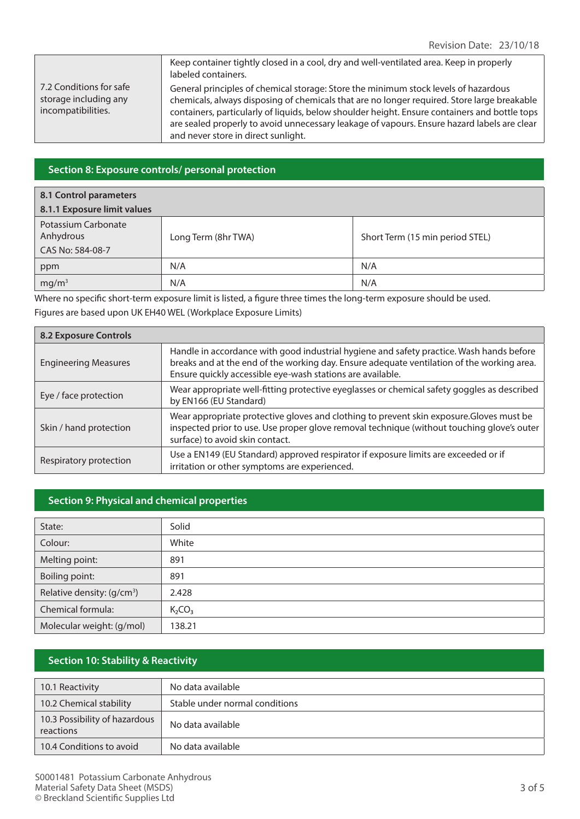|                                                                        | Keep container tightly closed in a cool, dry and well-ventilated area. Keep in properly<br>labeled containers.                                                                                                                                                                                                                                                                                                            |
|------------------------------------------------------------------------|---------------------------------------------------------------------------------------------------------------------------------------------------------------------------------------------------------------------------------------------------------------------------------------------------------------------------------------------------------------------------------------------------------------------------|
| 7.2 Conditions for safe<br>storage including any<br>incompatibilities. | General principles of chemical storage: Store the minimum stock levels of hazardous<br>chemicals, always disposing of chemicals that are no longer required. Store large breakable<br>containers, particularly of liquids, below shoulder height. Ensure containers and bottle tops<br>are sealed properly to avoid unnecessary leakage of vapours. Ensure hazard labels are clear<br>and never store in direct sunlight. |

#### **Section 8: Exposure controls/ personal protection**

#### **8.1 Control parameters**

| 8.1.1 Exposure limit values                          |                     |                                 |
|------------------------------------------------------|---------------------|---------------------------------|
| Potassium Carbonate<br>Anhydrous<br>CAS No: 584-08-7 | Long Term (8hr TWA) | Short Term (15 min period STEL) |
| ppm                                                  | N/A                 | N/A                             |
| mg/m <sup>3</sup>                                    | N/A                 | N/A                             |

Where no specific short-term exposure limit is listed, a figure three times the long-term exposure should be used. Figures are based upon UK EH40 WEL (Workplace Exposure Limits)

| <b>8.2 Exposure Controls</b> |                                                                                                                                                                                                                                                      |  |
|------------------------------|------------------------------------------------------------------------------------------------------------------------------------------------------------------------------------------------------------------------------------------------------|--|
| <b>Engineering Measures</b>  | Handle in accordance with good industrial hygiene and safety practice. Wash hands before<br>breaks and at the end of the working day. Ensure adequate ventilation of the working area.<br>Ensure quickly accessible eye-wash stations are available. |  |
| Eye / face protection        | Wear appropriate well-fitting protective eyeglasses or chemical safety goggles as described<br>by EN166 (EU Standard)                                                                                                                                |  |
| Skin / hand protection       | Wear appropriate protective gloves and clothing to prevent skin exposure. Gloves must be<br>inspected prior to use. Use proper glove removal technique (without touching glove's outer<br>surface) to avoid skin contact.                            |  |
| Respiratory protection       | Use a EN149 (EU Standard) approved respirator if exposure limits are exceeded or if<br>irritation or other symptoms are experienced.                                                                                                                 |  |

#### **Section 9: Physical and chemical properties**

| State:                                 | Solid                          |
|----------------------------------------|--------------------------------|
| Colour:                                | White                          |
| Melting point:                         | 891                            |
| Boiling point:                         | 891                            |
| Relative density: (g/cm <sup>3</sup> ) | 2.428                          |
| Chemical formula:                      | K <sub>2</sub> CO <sub>3</sub> |
| Molecular weight: (g/mol)              | 138.21                         |

#### **Section 10: Stability & Reactivity**

| 10.1 Reactivity                            | No data available              |
|--------------------------------------------|--------------------------------|
| 10.2 Chemical stability                    | Stable under normal conditions |
| 10.3 Possibility of hazardous<br>reactions | No data available              |
| 10.4 Conditions to avoid                   | No data available              |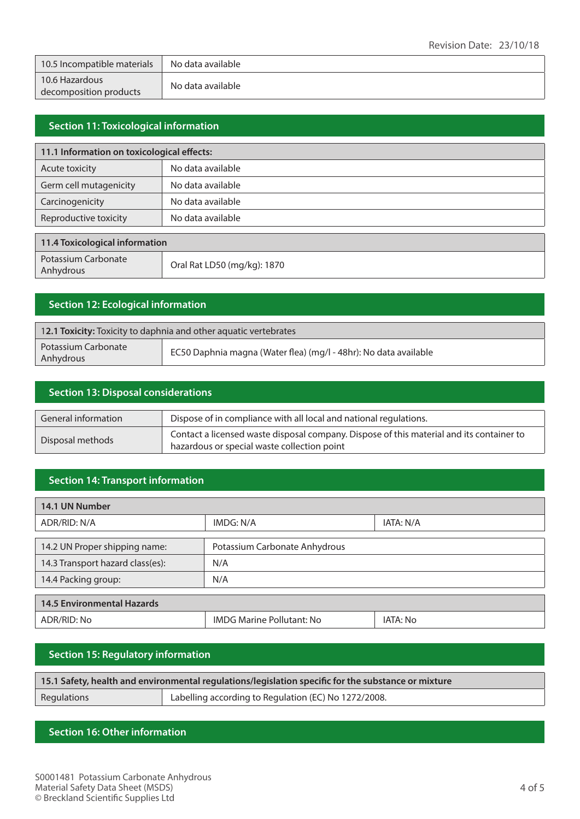| 10.5 Incompatible materials              | No data available |
|------------------------------------------|-------------------|
| 10.6 Hazardous<br>decomposition products | No data available |

#### **Section 11: Toxicological information**

| 11.1 Information on toxicological effects: |                             |  |
|--------------------------------------------|-----------------------------|--|
| Acute toxicity                             | No data available           |  |
| Germ cell mutagenicity                     | No data available           |  |
| Carcinogenicity                            | No data available           |  |
| Reproductive toxicity                      | No data available           |  |
|                                            |                             |  |
| 11.4 Toxicological information             |                             |  |
| Potassium Carbonate<br>Anhydrous           | Oral Rat LD50 (mg/kg): 1870 |  |

#### **Section 12: Ecological information**

| 12.1 Toxicity: Toxicity to daphnia and other aquatic vertebrates |                                                                  |
|------------------------------------------------------------------|------------------------------------------------------------------|
| Potassium Carbonate<br>Anhydrous                                 | EC50 Daphnia magna (Water flea) (mg/l - 48hr): No data available |

| <b>Section 13: Disposal considerations</b> |                                                                                                                                         |
|--------------------------------------------|-----------------------------------------------------------------------------------------------------------------------------------------|
| General information                        | Dispose of in compliance with all local and national regulations.                                                                       |
| Disposal methods                           | Contact a licensed waste disposal company. Dispose of this material and its container to<br>hazardous or special waste collection point |

#### **Section 14: Transport information**

| 14.1 UN Number                    |                                  |           |
|-----------------------------------|----------------------------------|-----------|
| ADR/RID: N/A                      | IMDG: N/A                        | IATA: N/A |
|                                   |                                  |           |
| 14.2 UN Proper shipping name:     | Potassium Carbonate Anhydrous    |           |
| 14.3 Transport hazard class(es):  | N/A                              |           |
| 14.4 Packing group:               | N/A                              |           |
|                                   |                                  |           |
| <b>14.5 Environmental Hazards</b> |                                  |           |
| ADR/RID: No                       | <b>IMDG Marine Pollutant: No</b> | IATA: No  |

#### **Section 15: Regulatory information**

| 15.1 Safety, health and environmental regulations/legislation specific for the substance or mixture |                                                      |
|-----------------------------------------------------------------------------------------------------|------------------------------------------------------|
| Regulations                                                                                         | Labelling according to Regulation (EC) No 1272/2008. |

#### **Section 16: Other information**